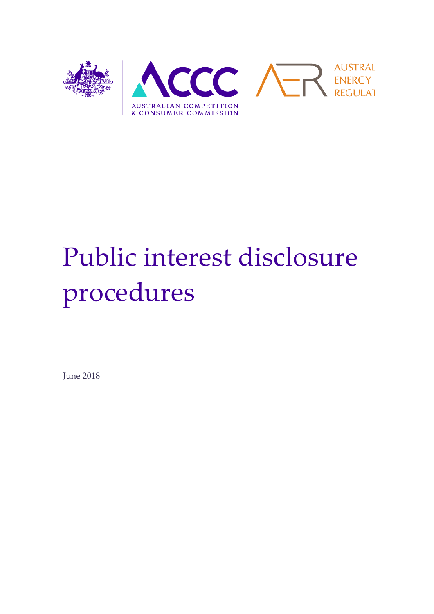

# Public interest disclosure procedures

June 2018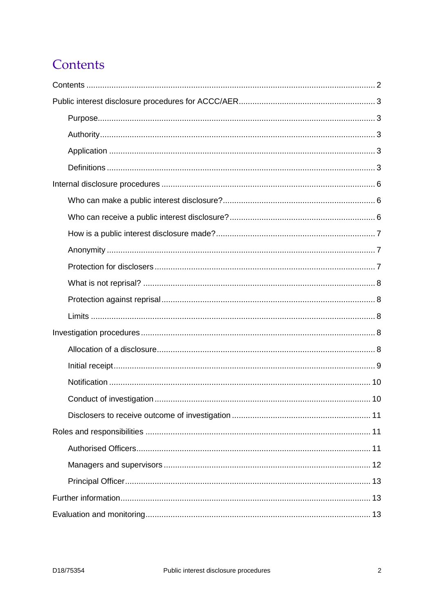# <span id="page-1-0"></span>Contents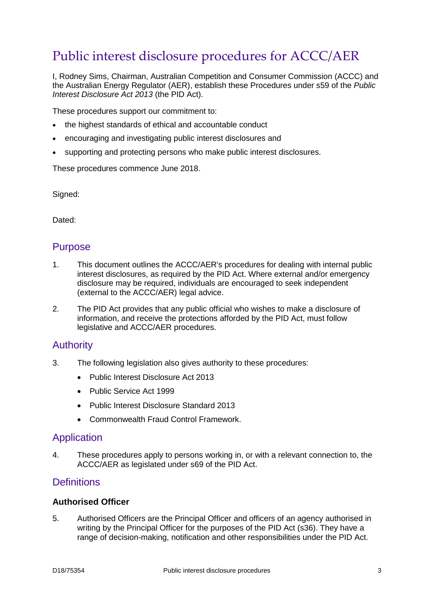# <span id="page-2-0"></span>Public interest disclosure procedures for ACCC/AER

I, Rodney Sims, Chairman, Australian Competition and Consumer Commission (ACCC) and the Australian Energy Regulator (AER), establish these Procedures under s59 of the *Public Interest Disclosure Act 2013* (the PID Act).

These procedures support our commitment to:

- the highest standards of ethical and accountable conduct
- encouraging and investigating public interest disclosures and
- supporting and protecting persons who make public interest disclosures.

These procedures commence June 2018.

Signed:

Dated:

## <span id="page-2-1"></span>Purpose

- 1. This document outlines the ACCC/AER's procedures for dealing with internal public interest disclosures, as required by the PID Act. Where external and/or emergency disclosure may be required, individuals are encouraged to seek independent (external to the ACCC/AER) legal advice.
- 2. The PID Act provides that any public official who wishes to make a disclosure of information, and receive the protections afforded by the PID Act, must follow legislative and ACCC/AER procedures.

## <span id="page-2-2"></span>Authority

- 3. The following legislation also gives authority to these procedures:
	- Public Interest Disclosure Act 2013
	- Public Service Act 1999
	- Public Interest Disclosure Standard 2013
	- Commonwealth Fraud Control Framework.

#### <span id="page-2-3"></span>Application

4. These procedures apply to persons working in, or with a relevant connection to, the ACCC/AER as legislated under s69 of the PID Act.

## <span id="page-2-4"></span>**Definitions**

#### **Authorised Officer**

5. Authorised Officers are the Principal Officer and officers of an agency authorised in writing by the Principal Officer for the purposes of the PID Act (s36). They have a range of decision-making, notification and other responsibilities under the PID Act.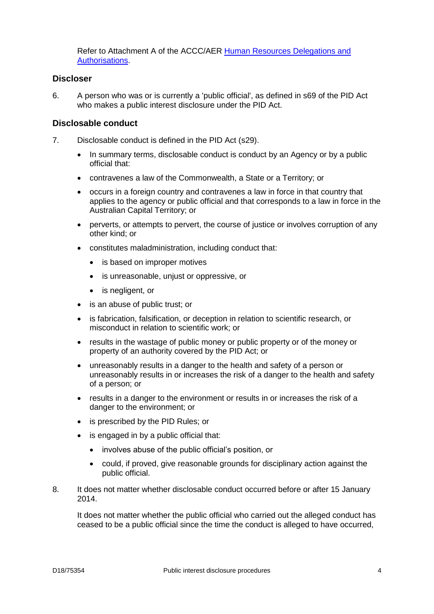Refer to Attachment A of the ACCC/AER [Human Resources Delegations](https://intranet.accc.gov.au/corporate-services/human-resources/planning-management/human-resources-delegations-authorisations) and [Authorisations.](https://intranet.accc.gov.au/corporate-services/human-resources/planning-management/human-resources-delegations-authorisations)

#### **Discloser**

6. A person who was or is currently a 'public official', as defined in s69 of the PID Act who makes a public interest disclosure under the PID Act.

#### **Disclosable conduct**

- 7. Disclosable conduct is defined in the PID Act (s29).
	- In summary terms, disclosable conduct is conduct by an Agency or by a public official that:
	- contravenes a law of the Commonwealth, a State or a Territory; or
	- occurs in a foreign country and contravenes a law in force in that country that applies to the agency or public official and that corresponds to a law in force in the Australian Capital Territory; or
	- perverts, or attempts to pervert, the course of justice or involves corruption of any other kind; or
	- constitutes maladministration, including conduct that:
		- is based on improper motives
		- is unreasonable, unjust or oppressive, or
		- is negligent, or
	- is an abuse of public trust; or
	- is fabrication, falsification, or deception in relation to scientific research, or misconduct in relation to scientific work; or
	- results in the wastage of public money or public property or of the money or property of an authority covered by the PID Act; or
	- unreasonably results in a danger to the health and safety of a person or unreasonably results in or increases the risk of a danger to the health and safety of a person; or
	- results in a danger to the environment or results in or increases the risk of a danger to the environment; or
	- is prescribed by the PID Rules; or
	- is engaged in by a public official that:
		- involves abuse of the public official's position, or
		- could, if proved, give reasonable grounds for disciplinary action against the public official.
- 8. It does not matter whether disclosable conduct occurred before or after 15 January 2014.

It does not matter whether the public official who carried out the alleged conduct has ceased to be a public official since the time the conduct is alleged to have occurred,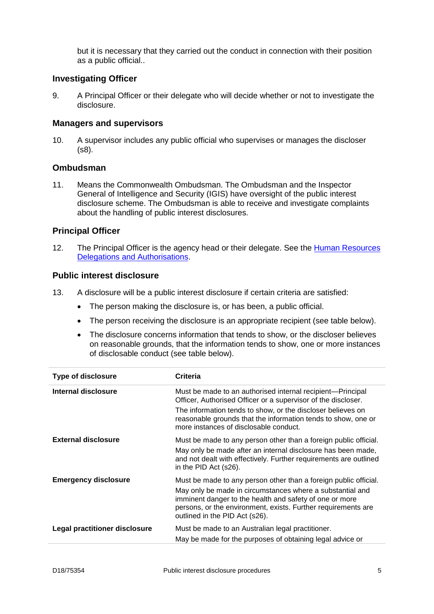but it is necessary that they carried out the conduct in connection with their position as a public official..

#### **Investigating Officer**

9. A Principal Officer or their delegate who will decide whether or not to investigate the disclosure.

#### **Managers and supervisors**

10. A supervisor includes any public official who supervises or manages the discloser (s8).

#### **Ombudsman**

11. Means the Commonwealth Ombudsman. The Ombudsman and the Inspector General of Intelligence and Security (IGIS) have oversight of the public interest disclosure scheme. The Ombudsman is able to receive and investigate complaints about the handling of public interest disclosures.

#### **Principal Officer**

12. The Principal Officer is the agency head or their delegate. See the [Human Resources](https://intranet.accc.gov.au/corporate-services/human-resources/planning-management/human-resources-delegations-authorisations)  [Delegations and Authorisations.](https://intranet.accc.gov.au/corporate-services/human-resources/planning-management/human-resources-delegations-authorisations)

#### **Public interest disclosure**

- 13. A disclosure will be a public interest disclosure if certain criteria are satisfied:
	- The person making the disclosure is, or has been, a public official.
	- The person receiving the disclosure is an appropriate recipient (see table below).
	- The disclosure concerns information that tends to show, or the discloser believes on reasonable grounds, that the information tends to show, one or more instances of disclosable conduct (see table below).

| Type of disclosure            | <b>Criteria</b>                                                                                                                                                                                                                |
|-------------------------------|--------------------------------------------------------------------------------------------------------------------------------------------------------------------------------------------------------------------------------|
| Internal disclosure           | Must be made to an authorised internal recipient—Principal<br>Officer, Authorised Officer or a supervisor of the discloser.                                                                                                    |
|                               | The information tends to show, or the discloser believes on<br>reasonable grounds that the information tends to show, one or<br>more instances of disclosable conduct.                                                         |
| External disclosure           | Must be made to any person other than a foreign public official.<br>May only be made after an internal disclosure has been made,<br>and not dealt with effectively. Further requirements are outlined<br>in the PID Act (s26). |
| <b>Emergency disclosure</b>   | Must be made to any person other than a foreign public official.                                                                                                                                                               |
|                               | May only be made in circumstances where a substantial and<br>imminent danger to the health and safety of one or more<br>persons, or the environment, exists. Further requirements are<br>outlined in the PID Act (s26).        |
| Legal practitioner disclosure | Must be made to an Australian legal practitioner.                                                                                                                                                                              |
|                               | May be made for the purposes of obtaining legal advice or                                                                                                                                                                      |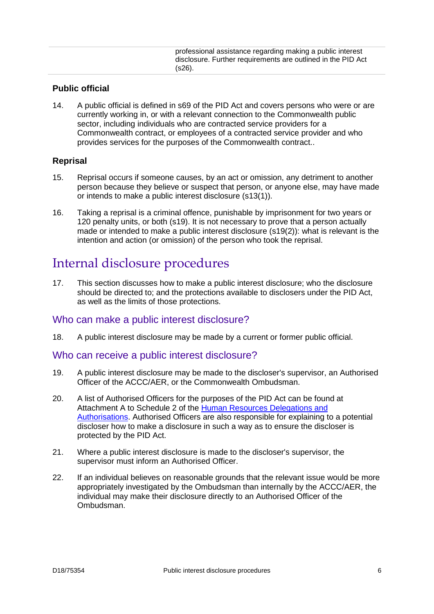professional assistance regarding making a public interest disclosure. Further requirements are outlined in the PID Act (s26).

#### **Public official**

14. A public official is defined in s69 of the PID Act and covers persons who were or are currently working in, or with a relevant connection to the Commonwealth public sector, including individuals who are contracted service providers for a Commonwealth contract, or employees of a contracted service provider and who provides services for the purposes of the Commonwealth contract..

#### **Reprisal**

- 15. Reprisal occurs if someone causes, by an act or omission, any detriment to another person because they believe or suspect that person, or anyone else, may have made or intends to make a public interest disclosure (s13(1)).
- 16. Taking a reprisal is a criminal offence, punishable by imprisonment for two years or 120 penalty units, or both (s19). It is not necessary to prove that a person actually made or intended to make a public interest disclosure (s19(2)): what is relevant is the intention and action (or omission) of the person who took the reprisal.

## <span id="page-5-0"></span>Internal disclosure procedures

17. This section discusses how to make a public interest disclosure; who the disclosure should be directed to; and the protections available to disclosers under the PID Act, as well as the limits of those protections.

## <span id="page-5-1"></span>Who can make a public interest disclosure?

<span id="page-5-2"></span>18. A public interest disclosure may be made by a current or former public official.

#### Who can receive a public interest disclosure?

- 19. A public interest disclosure may be made to the discloser's supervisor, an Authorised Officer of the ACCC/AER, or the Commonwealth Ombudsman.
- 20. A list of Authorised Officers for the purposes of the PID Act can be found at Attachment A to Schedule 2 of the [Human Resources Delegations and](https://intranet.accc.gov.au/corporate-services/human-resources/planning-management/human-resources-delegations-authorisations)  [Authorisations.](https://intranet.accc.gov.au/corporate-services/human-resources/planning-management/human-resources-delegations-authorisations) Authorised Officers are also responsible for explaining to a potential discloser how to make a disclosure in such a way as to ensure the discloser is protected by the PID Act.
- 21. Where a public interest disclosure is made to the discloser's supervisor, the supervisor must inform an Authorised Officer.
- 22. If an individual believes on reasonable grounds that the relevant issue would be more appropriately investigated by the Ombudsman than internally by the ACCC/AER, the individual may make their disclosure directly to an Authorised Officer of the Ombudsman.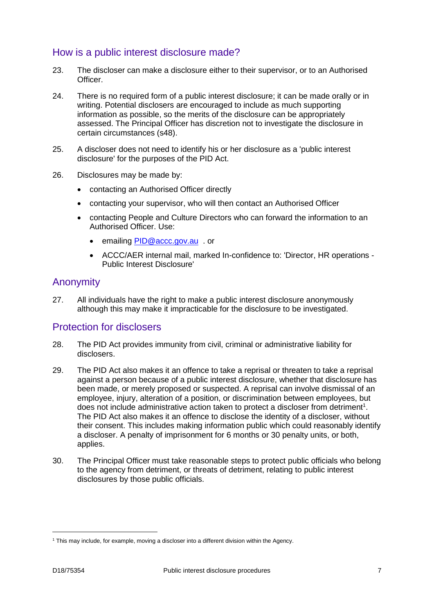## <span id="page-6-0"></span>How is a public interest disclosure made?

- 23. The discloser can make a disclosure either to their supervisor, or to an Authorised **Officer**
- 24. There is no required form of a public interest disclosure; it can be made orally or in writing. Potential disclosers are encouraged to include as much supporting information as possible, so the merits of the disclosure can be appropriately assessed. The Principal Officer has discretion not to investigate the disclosure in certain circumstances (s48).
- 25. A discloser does not need to identify his or her disclosure as a 'public interest disclosure' for the purposes of the PID Act.
- 26. Disclosures may be made by:
	- contacting an Authorised Officer directly
	- contacting your supervisor, who will then contact an Authorised Officer
	- contacting People and Culture Directors who can forward the information to an Authorised Officer. Use:
		- emailing [PID@accc.gov.au](mailto:PID@accc.gov.au) . or
		- ACCC/AER internal mail, marked In-confidence to: 'Director, HR operations Public Interest Disclosure'

## <span id="page-6-1"></span>Anonymity

27. All individuals have the right to make a public interest disclosure anonymously although this may make it impracticable for the disclosure to be investigated.

## <span id="page-6-2"></span>Protection for disclosers

- 28. The PID Act provides immunity from civil, criminal or administrative liability for disclosers.
- 29. The PID Act also makes it an offence to take a reprisal or threaten to take a reprisal against a person because of a public interest disclosure, whether that disclosure has been made, or merely proposed or suspected. A reprisal can involve dismissal of an employee, injury, alteration of a position, or discrimination between employees, but does not include administrative action taken to protect a discloser from detriment<sup>1</sup>. The PID Act also makes it an offence to disclose the identity of a discloser, without their consent. This includes making information public which could reasonably identify a discloser. A penalty of imprisonment for 6 months or 30 penalty units, or both, applies.
- 30. The Principal Officer must take reasonable steps to protect public officials who belong to the agency from detriment, or threats of detriment, relating to public interest disclosures by those public officials.

-

<sup>1</sup> This may include, for example, moving a discloser into a different division within the Agency.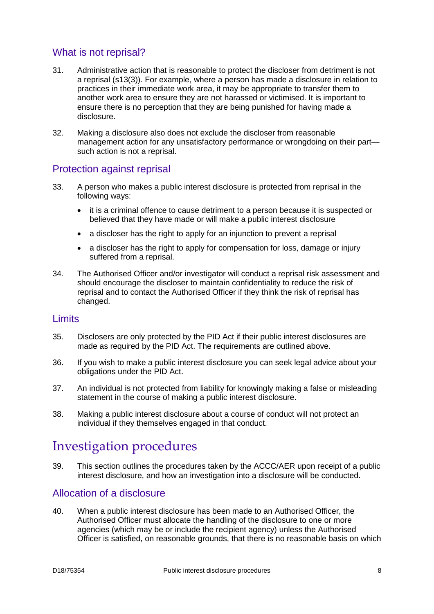## <span id="page-7-0"></span>What is not reprisal?

- 31. Administrative action that is reasonable to protect the discloser from detriment is not a reprisal (s13(3)). For example, where a person has made a disclosure in relation to practices in their immediate work area, it may be appropriate to transfer them to another work area to ensure they are not harassed or victimised. It is important to ensure there is no perception that they are being punished for having made a disclosure.
- 32. Making a disclosure also does not exclude the discloser from reasonable management action for any unsatisfactory performance or wrongdoing on their part such action is not a reprisal.

## <span id="page-7-1"></span>Protection against reprisal

- 33. A person who makes a public interest disclosure is protected from reprisal in the following ways:
	- it is a criminal offence to cause detriment to a person because it is suspected or believed that they have made or will make a public interest disclosure
	- a discloser has the right to apply for an injunction to prevent a reprisal
	- a discloser has the right to apply for compensation for loss, damage or injury suffered from a reprisal.
- 34. The Authorised Officer and/or investigator will conduct a reprisal risk assessment and should encourage the discloser to maintain confidentiality to reduce the risk of reprisal and to contact the Authorised Officer if they think the risk of reprisal has changed.

## <span id="page-7-2"></span>Limits

- 35. Disclosers are only protected by the PID Act if their public interest disclosures are made as required by the PID Act. The requirements are outlined above.
- 36. If you wish to make a public interest disclosure you can seek legal advice about your obligations under the PID Act.
- 37. An individual is not protected from liability for knowingly making a false or misleading statement in the course of making a public interest disclosure.
- 38. Making a public interest disclosure about a course of conduct will not protect an individual if they themselves engaged in that conduct.

# <span id="page-7-3"></span>Investigation procedures

39. This section outlines the procedures taken by the ACCC/AER upon receipt of a public interest disclosure, and how an investigation into a disclosure will be conducted.

## <span id="page-7-4"></span>Allocation of a disclosure

40. When a public interest disclosure has been made to an Authorised Officer, the Authorised Officer must allocate the handling of the disclosure to one or more agencies (which may be or include the recipient agency) unless the Authorised Officer is satisfied, on reasonable grounds, that there is no reasonable basis on which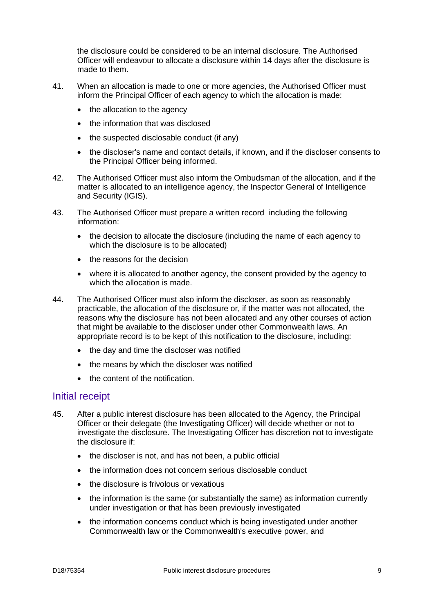the disclosure could be considered to be an internal disclosure. The Authorised Officer will endeavour to allocate a disclosure within 14 days after the disclosure is made to them.

- 41. When an allocation is made to one or more agencies, the Authorised Officer must inform the Principal Officer of each agency to which the allocation is made:
	- the allocation to the agency
	- the information that was disclosed
	- the suspected disclosable conduct (if any)
	- the discloser's name and contact details, if known, and if the discloser consents to the Principal Officer being informed.
- 42. The Authorised Officer must also inform the Ombudsman of the allocation, and if the matter is allocated to an intelligence agency, the Inspector General of Intelligence and Security (IGIS).
- 43. The Authorised Officer must prepare a written record including the following information:
	- the decision to allocate the disclosure (including the name of each agency to which the disclosure is to be allocated)
	- the reasons for the decision
	- where it is allocated to another agency, the consent provided by the agency to which the allocation is made.
- 44. The Authorised Officer must also inform the discloser, as soon as reasonably practicable, the allocation of the disclosure or, if the matter was not allocated, the reasons why the disclosure has not been allocated and any other courses of action that might be available to the discloser under other Commonwealth laws. An appropriate record is to be kept of this notification to the disclosure, including:
	- the day and time the discloser was notified
	- the means by which the discloser was notified
	- the content of the notification.

## <span id="page-8-0"></span>Initial receipt

- 45. After a public interest disclosure has been allocated to the Agency, the Principal Officer or their delegate (the Investigating Officer) will decide whether or not to investigate the disclosure. The Investigating Officer has discretion not to investigate the disclosure if:
	- the discloser is not, and has not been, a public official
	- the information does not concern serious disclosable conduct
	- the disclosure is frivolous or vexatious
	- the information is the same (or substantially the same) as information currently under investigation or that has been previously investigated
	- the information concerns conduct which is being investigated under another Commonwealth law or the Commonwealth's executive power, and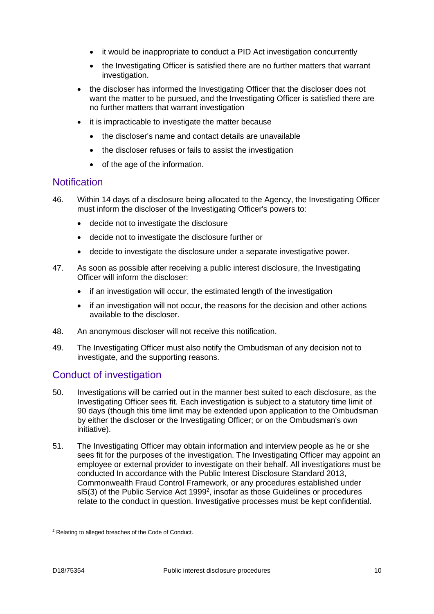- it would be inappropriate to conduct a PID Act investigation concurrently
- the Investigating Officer is satisfied there are no further matters that warrant investigation.
- the discloser has informed the Investigating Officer that the discloser does not want the matter to be pursued, and the Investigating Officer is satisfied there are no further matters that warrant investigation
- it is impracticable to investigate the matter because
	- the discloser's name and contact details are unavailable
	- the discloser refuses or fails to assist the investigation
	- of the age of the information.

## <span id="page-9-0"></span>**Notification**

- 46. Within 14 days of a disclosure being allocated to the Agency, the Investigating Officer must inform the discloser of the Investigating Officer's powers to:
	- decide not to investigate the disclosure
	- decide not to investigate the disclosure further or
	- decide to investigate the disclosure under a separate investigative power.
- 47. As soon as possible after receiving a public interest disclosure, the Investigating Officer will inform the discloser:
	- if an investigation will occur, the estimated length of the investigation
	- if an investigation will not occur, the reasons for the decision and other actions available to the discloser.
- 48. An anonymous discloser will not receive this notification.
- 49. The Investigating Officer must also notify the Ombudsman of any decision not to investigate, and the supporting reasons.

## <span id="page-9-1"></span>Conduct of investigation

- 50. Investigations will be carried out in the manner best suited to each disclosure, as the Investigating Officer sees fit. Each investigation is subject to a statutory time limit of 90 days (though this time limit may be extended upon application to the Ombudsman by either the discloser or the Investigating Officer; or on the Ombudsman's own initiative).
- 51. The Investigating Officer may obtain information and interview people as he or she sees fit for the purposes of the investigation. The Investigating Officer may appoint an employee or external provider to investigate on their behalf. All investigations must be conducted In accordance with the Public Interest Disclosure Standard 2013, Commonwealth Fraud Control Framework, or any procedures established under  $sl5(3)$  of the Public Service Act 1999<sup>2</sup>, insofar as those Guidelines or procedures relate to the conduct in question. Investigative processes must be kept confidential.

-

<sup>2</sup> Relating to alleged breaches of the Code of Conduct.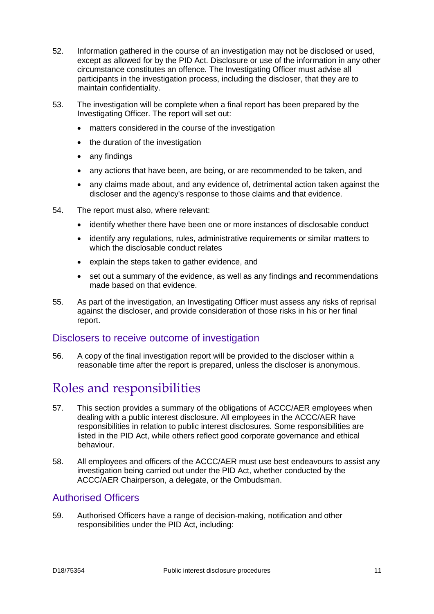- 52. Information gathered in the course of an investigation may not be disclosed or used, except as allowed for by the PID Act. Disclosure or use of the information in any other circumstance constitutes an offence. The Investigating Officer must advise all participants in the investigation process, including the discloser, that they are to maintain confidentiality.
- 53. The investigation will be complete when a final report has been prepared by the Investigating Officer. The report will set out:
	- matters considered in the course of the investigation
	- the duration of the investigation
	- any findings
	- any actions that have been, are being, or are recommended to be taken, and
	- any claims made about, and any evidence of, detrimental action taken against the discloser and the agency's response to those claims and that evidence.
- 54. The report must also, where relevant:
	- identify whether there have been one or more instances of disclosable conduct
	- identify any regulations, rules, administrative requirements or similar matters to which the disclosable conduct relates
	- explain the steps taken to gather evidence, and
	- set out a summary of the evidence, as well as any findings and recommendations made based on that evidence.
- 55. As part of the investigation, an Investigating Officer must assess any risks of reprisal against the discloser, and provide consideration of those risks in his or her final report.

## <span id="page-10-0"></span>Disclosers to receive outcome of investigation

56. A copy of the final investigation report will be provided to the discloser within a reasonable time after the report is prepared, unless the discloser is anonymous.

# <span id="page-10-1"></span>Roles and responsibilities

- 57. This section provides a summary of the obligations of ACCC/AER employees when dealing with a public interest disclosure. All employees in the ACCC/AER have responsibilities in relation to public interest disclosures. Some responsibilities are listed in the PID Act, while others reflect good corporate governance and ethical behaviour.
- 58. All employees and officers of the ACCC/AER must use best endeavours to assist any investigation being carried out under the PID Act, whether conducted by the ACCC/AER Chairperson, a delegate, or the Ombudsman.

## <span id="page-10-2"></span>Authorised Officers

59. Authorised Officers have a range of decision-making, notification and other responsibilities under the PID Act, including: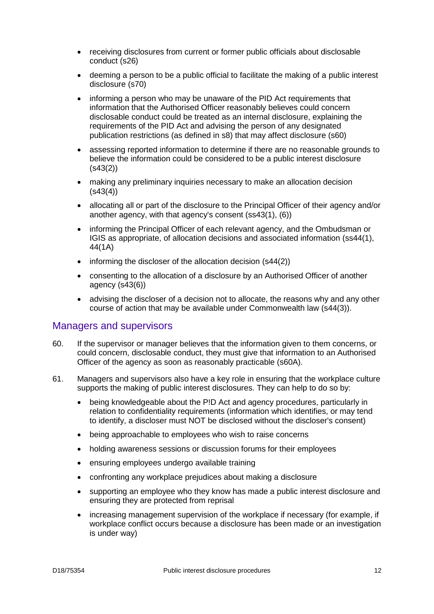- receiving disclosures from current or former public officials about disclosable conduct (s26)
- deeming a person to be a public official to facilitate the making of a public interest disclosure (s70)
- informing a person who may be unaware of the PID Act requirements that information that the Authorised Officer reasonably believes could concern disclosable conduct could be treated as an internal disclosure, explaining the requirements of the PID Act and advising the person of any designated publication restrictions (as defined in s8) that may affect disclosure (s60)
- assessing reported information to determine if there are no reasonable grounds to believe the information could be considered to be a public interest disclosure (s43(2))
- making any preliminary inquiries necessary to make an allocation decision  $(s43(4))$
- allocating all or part of the disclosure to the Principal Officer of their agency and/or another agency, with that agency's consent (ss43(1), (6))
- informing the Principal Officer of each relevant agency, and the Ombudsman or IGIS as appropriate, of allocation decisions and associated information (ss44(1), 44(1A)
- informing the discloser of the allocation decision (s44(2))
- consenting to the allocation of a disclosure by an Authorised Officer of another agency (s43(6))
- advising the discloser of a decision not to allocate, the reasons why and any other course of action that may be available under Commonwealth law (s44(3)).

## <span id="page-11-0"></span>Managers and supervisors

- 60. If the supervisor or manager believes that the information given to them concerns, or could concern, disclosable conduct, they must give that information to an Authorised Officer of the agency as soon as reasonably practicable (s60A).
- 61. Managers and supervisors also have a key role in ensuring that the workplace culture supports the making of public interest disclosures. They can help to do so by:
	- being knowledgeable about the P!D Act and agency procedures, particularly in relation to confidentiality requirements (information which identifies, or may tend to identify, a discloser must NOT be disclosed without the discloser's consent)
	- being approachable to employees who wish to raise concerns
	- holding awareness sessions or discussion forums for their employees
	- ensuring employees undergo available training
	- confronting any workplace prejudices about making a disclosure
	- supporting an employee who they know has made a public interest disclosure and ensuring they are protected from reprisal
	- increasing management supervision of the workplace if necessary (for example, if workplace conflict occurs because a disclosure has been made or an investigation is under way)